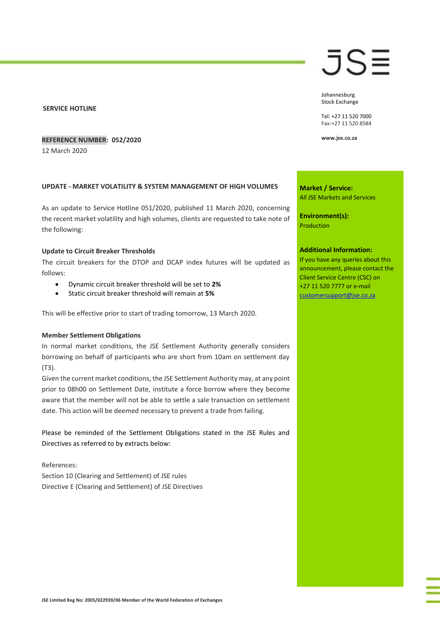### **SERVICE HOTLINE**

## **REFERENCE NUMBER: 052/2020**

12 March 2020

### **UPDATE - MARKET VOLATILITY & SYSTEM MANAGEMENT OF HIGH VOLUMES**

As an update to Service Hotline 051/2020, published 11 March 2020, concerning the recent market volatility and high volumes, clients are requested to take note of the following:

#### **Update to Circuit Breaker Thresholds**

The circuit breakers for the DTOP and DCAP index futures will be updated as follows:

- Dynamic circuit breaker threshold will be set to **2%**
- Static circuit breaker threshold will remain at **5%**

This will be effective prior to start of trading tomorrow, 13 March 2020.

# **Member Settlement Obligations**

In normal market conditions, the JSE Settlement Authority generally considers borrowing on behalf of participants who are short from 10am on settlement day (T3).

Given the current market conditions, the JSE Settlement Authority may, at any point prior to 08h00 on Settlement Date, institute a force borrow where they become aware that the member will not be able to settle a sale transaction on settlement date. This action will be deemed necessary to prevent a trade from failing.

Please be reminded of the Settlement Obligations stated in the JSE Rules and Directives as referred to by extracts below:

References: Section 10 (Clearing and Settlement) of JSE rules Directive E (Clearing and Settlement) of JSE Directives Johannesburg Stock Exchange

Tel: +27 11 520 7000 Fax:+27 11 520 8584

**www.jse.co.za**

**Market / Service:** All JSE Markets and Services

**Environment(s):** Production

#### **Additional Information:**

If you have any queries about this announcement, please contact the Client Service Centre (CSC) on +27 11 520 7777 or e-mail [customersupport@jse.co.za](mailto:customersupport@jse.co.za)